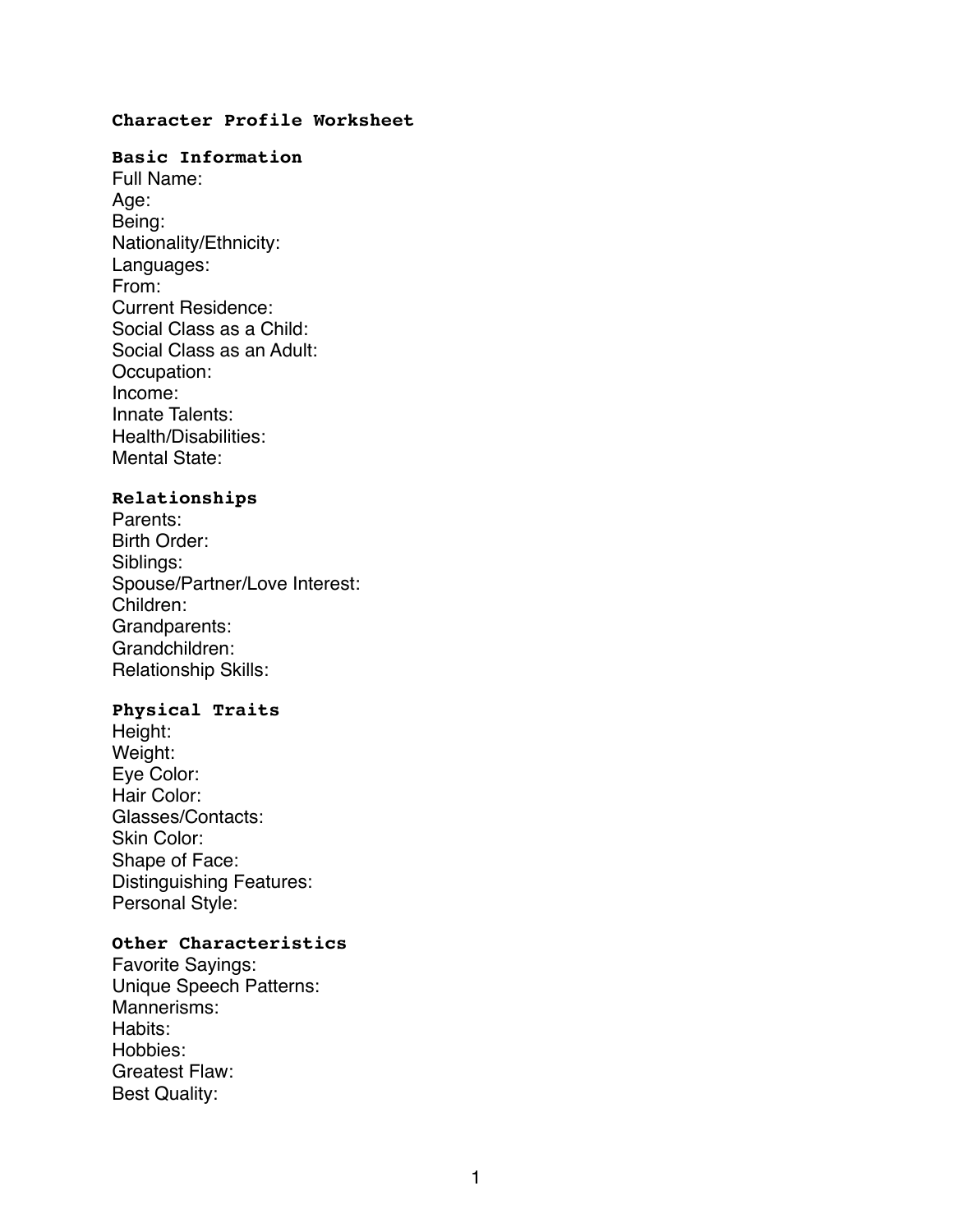### **Character Profile Worksheet**

### **Basic Information**

Full Name: Age: Being: Nationality/Ethnicity: Languages: From: Current Residence: Social Class as a Child: Social Class as an Adult: Occupation: Income: Innate Talents: Health/Disabilities: Mental State:

#### **Relationships**

Parents: Birth Order: Siblings: Spouse/Partner/Love Interest: Children: Grandparents: Grandchildren: Relationship Skills:

# **Physical Traits**

Height: Weight: Eye Color: Hair Color: Glasses/Contacts: Skin Color: Shape of Face: Distinguishing Features: Personal Style:

### **Other Characteristics**

Favorite Sayings: Unique Speech Patterns: Mannerisms: Habits: Hobbies: Greatest Flaw: Best Quality: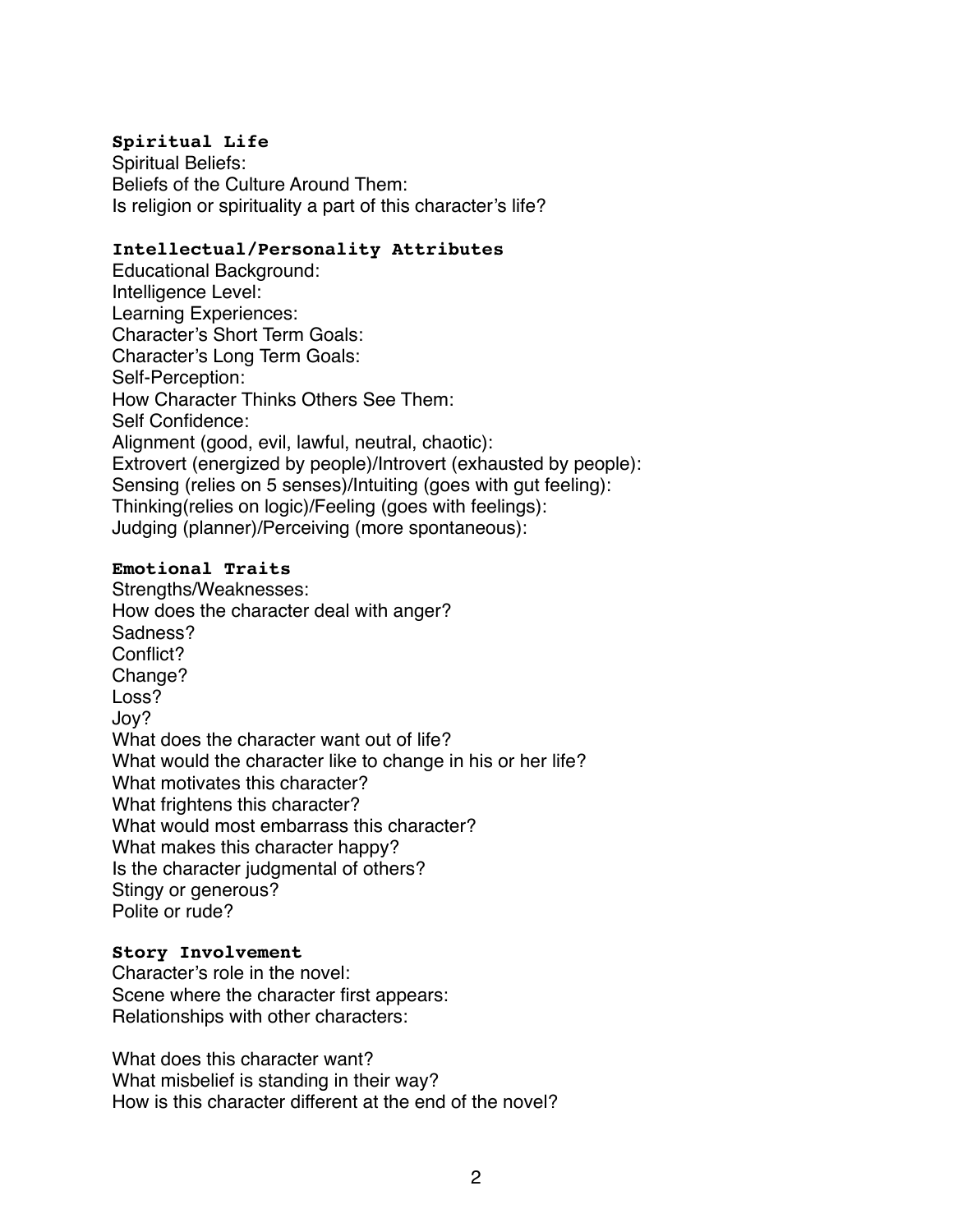# **Spiritual Life**

Spiritual Beliefs: Beliefs of the Culture Around Them: Is religion or spirituality a part of this character's life?

# **Intellectual/Personality Attributes**

Educational Background: Intelligence Level: Learning Experiences: Character's Short Term Goals: Character's Long Term Goals: Self-Perception: How Character Thinks Others See Them: Self Confidence: Alignment (good, evil, lawful, neutral, chaotic): Extrovert (energized by people)/Introvert (exhausted by people): Sensing (relies on 5 senses)/Intuiting (goes with gut feeling): Thinking(relies on logic)/Feeling (goes with feelings): Judging (planner)/Perceiving (more spontaneous):

#### **Emotional Traits**

Strengths/Weaknesses: How does the character deal with anger? Sadness? Conflict? Change? Loss? Joy? What does the character want out of life? What would the character like to change in his or her life? What motivates this character? What frightens this character? What would most embarrass this character? What makes this character happy? Is the character judgmental of others? Stingy or generous? Polite or rude?

# **Story Involvement**

Character's role in the novel: Scene where the character first appears: Relationships with other characters:

What does this character want? What misbelief is standing in their way? How is this character different at the end of the novel?